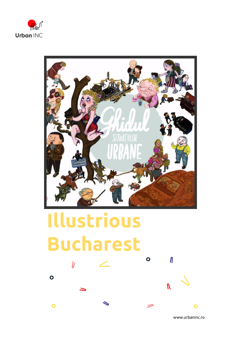



## **Illustrious Bucharest**  $\overline{O}$  $\mathbf{h}$

 $\bullet$ 

 $\overline{O}$ 

www.urbaninc.ro

 $\boldsymbol{\eta}$